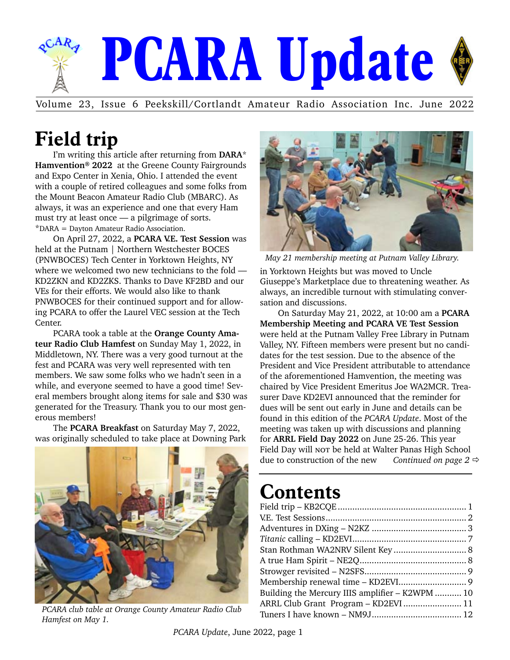

Volume 23, Issue 6 Peekskill/Cortlandt Amateur Radio Association Inc. June 2022

# **Field trip**

I'm writing this article after returning from **DARA**\* **Hamvention® 2022** at the Greene County Fairgrounds and Expo Center in Xenia, Ohio. I attended the event with a couple of retired colleagues and some folks from the Mount Beacon Amateur Radio Club (MBARC). As always, it was an experience and one that every Ham must try at least once — a pilgrimage of sorts. \*DARA = Dayton Amateur Radio Association.

On April 27, 2022, a PCARA V.E. Test Session was held at the Putnam | Northern Westchester BOCES (PNWBOCES) Tech Center in Yorktown Heights, NY where we welcomed two new technicians to the fold — KD2ZKN and KD2ZKS. Thanks to Dave KF2BD and our VEs for their efforts. We would also like to thank PNWBOCES for their continued support and for allowing PCARA to offer the Laurel VEC session at the Tech Center.

PCARA took a table at the **Orange County Amateur Radio Club Hamfest** on Sunday May 1, 2022, in Middletown, NY. There was a very good turnout at the fest and PCARA was very well represented with ten members. We saw some folks who we hadn't seen in a while, and everyone seemed to have a good time! Several members brought along items for sale and \$30 was generated for the Treasury. Thank you to our most generous members!

The **PCARA Breakfast** on Saturday May 7, 2022, was originally scheduled to take place at Downing Park



*PCARA club table at Orange County Amateur Radio Club Hamfest on May 1.*



*May 21 membership meeting at Putnam Valley Library.*

in Yorktown Heights but was moved to Uncle Giuseppe's Marketplace due to threatening weather. As always, an incredible turnout with stimulating conversation and discussions.

On Saturday May 21, 2022, at 10:00 am a **PCARA Membership Meeting and PCARA VE Test Session** were held at the Putnam Valley Free Library in Putnam Valley, NY. Fifteen members were present but no candidates for the test session. Due to the absence of the President and Vice President attributable to attendance of the aforementioned Hamvention, the meeting was chaired by Vice President Emeritus Joe WA2MCR. Treasurer Dave KD2EVI announced that the reminder for dues will be sent out early in June and details can be found in this edition of the *PCARA Update*. Most of the meeting was taken up with discussions and planning for **ARRL Field Day 2022** on June 25-26. This year Field Day will nor be held at Walter Panas High School due to construction of the new *Continued on page 2*  $\Rightarrow$ 

# **Contents**

| Building the Mercury IIIS amplifier – K2WPM  10 |
|-------------------------------------------------|
|                                                 |
|                                                 |
|                                                 |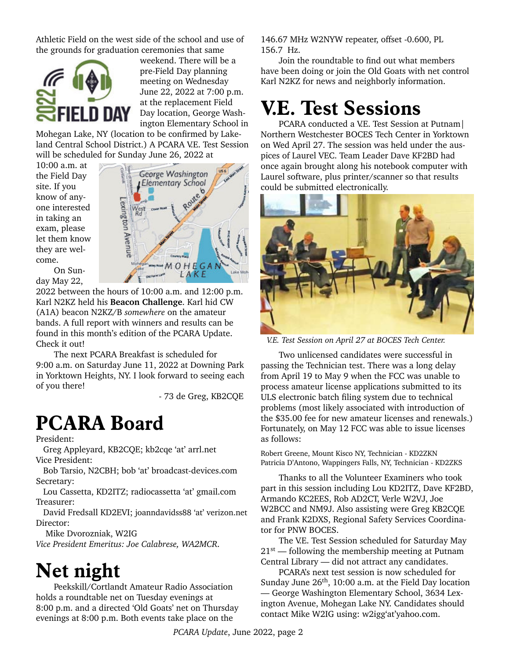<span id="page-1-0"></span>Athletic Field on the west side of the school and use of the grounds for graduation ceremonies that same



weekend. There will be a pre-Field Day planning meeting on Wednesday June 22, 2022 at 7:00 p.m. at the replacement Field Day location, George Washington Elementary School in

Mohegan Lake, NY (location to be confirmed by Lakeland Central School District.) A PCARA V.E. Test Session will be scheduled for Sunday June 26, 2022 at

10:00 a.m. at the Field Day site. If you know of anyone interested in taking an exam, please let them know they are welcome.



On Sunday May 22,

2022 between the hours of 10:00 a.m. and 12:00 p.m. Karl N2KZ held his **Beacon Challenge**. Karl hid CW (A1A) beacon N2KZ/B *somewhere* on the amateur bands. A full report with winners and results can be found in this month's edition of the PCARA Update. Check it out!

The next PCARA Breakfast is scheduled for 9:00 a.m. on Saturday June 11, 2022 at Downing Park in Yorktown Heights, NY. I look forward to seeing each of you there!

- 73 de Greg, KB2CQE

## **PCARA Board**

President:

Greg Appleyard, KB2CQE; kb2cqe 'at' arrl.net Vice President:

Bob Tarsio, N2CBH; bob 'at' broadcast-devices.com Secretary:

Lou Cassetta, KD2ITZ; radiocassetta 'at' gmail.com Treasurer:

David Fredsall KD2EVI; joanndavidss88 'at' verizon.net Director:

Mike Dvorozniak, W2IG

*Vice President Emeritus: Joe Calabrese, WA2MCR*.

## **Net night**

Peekskill/Cortlandt Amateur Radio Association holds a roundtable net on Tuesday evenings at 8:00 p.m. and a directed 'Old Goats' net on Thursday evenings at 8:00 p.m. Both events take place on the

146.67 MHz W2NYW repeater, offset -0.600, PL 156.7 Hz.

Join the roundtable to find out what members have been doing or join the Old Goats with net control Karl N2KZ for news and neighborly information.

### **V.E. Test Sessions**

PCARA conducted a V.E. Test Session at Putnam| Northern Westchester BOCES Tech Center in Yorktown on Wed April 27. The session was held under the auspices of Laurel VEC. Team Leader Dave KF2BD had once again brought along his notebook computer with Laurel software, plus printer/scanner so that results could be submitted electronically.



*V.E. Test Session on April 27 at BOCES Tech Center.*

Two unlicensed candidates were successful in passing the Technician test. There was a long delay from April 19 to May 9 when the FCC was unable to process amateur license applications submitted to its ULS electronic batch filing system due to technical problems (most likely associated with introduction of the \$35.00 fee for new amateur licenses and renewals.) Fortunately, on May 12 FCC was able to issue licenses as follows:

Robert Greene, Mount Kisco NY, Technician - KD2ZKN Patricia D'Antono, Wappingers Falls, NY, Technician - KD2ZKS

Thanks to all the Volunteer Examiners who took part in this session including Lou KD2ITZ, Dave KF2BD, Armando KC2EES, Rob AD2CT, Verle W2VJ, Joe W2BCC and NM9J. Also assisting were Greg KB2CQE and Frank K2DXS, Regional Safety Services Coordinator for PNW BOCES.

The V.E. Test Session scheduled for Saturday May  $21<sup>st</sup>$  — following the membership meeting at Putnam Central Library — did not attract any candidates.

PCARA's next test session is now scheduled for Sunday June  $26<sup>th</sup>$ , 10:00 a.m. at the Field Day location — George Washington Elementary School, 3634 Lexington Avenue, Mohegan Lake NY. Candidates should contact Mike W2IG using: w2igg'at'yahoo.com.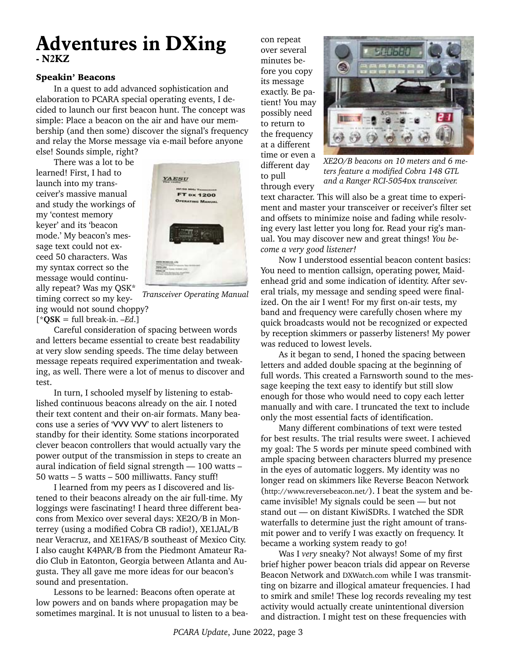### <span id="page-2-0"></span>**Adventures in DXing - N2KZ**

### **Speakin' Beacons**

In a quest to add advanced sophistication and elaboration to PCARA special operating events, I decided to launch our first beacon hunt. The concept was simple: Place a beacon on the air and have our membership (and then some) discover the signal's frequency and relay the Morse message via e-mail before anyone else! Sounds simple, right?

There was a lot to be learned! First, I had to launch into my transceiver's massive manual and study the workings of my 'contest memory keyer' and its 'beacon mode.' My beacon's message text could not exceed 50 characters. Was my syntax correct so the message would continually repeat? Was my QSK\* timing correct so my keying would not sound choppy?  $[\angle QSK = full break-in. -Ed.]$ 



*Transceiver Operating Manual*

Careful consideration of spacing between words and letters became essential to create best readability at very slow sending speeds. The time delay between message repeats required experimentation and tweaking, as well. There were a lot of menus to discover and test.

In turn, I schooled myself by listening to established continuous beacons already on the air. I noted their text content and their on-air formats. Many beacons use a series of 'VVV VVV' to alert listeners to standby for their identity. Some stations incorporated clever beacon controllers that would actually vary the power output of the transmission in steps to create an aural indication of field signal strength — 100 watts – 50 watts – 5 watts – 500 milliwatts. Fancy stuff!

I learned from my peers as I discovered and listened to their beacons already on the air full-time. My loggings were fascinating! I heard three different beacons from Mexico over several days: XE2O/B in Monterrey (using a modified Cobra CB radio!), XE1JAL/B near Veracruz, and XE1FAS/B southeast of Mexico City. I also caught K4PAR/B from the Piedmont Amateur Radio Club in Eatonton, Georgia between Atlanta and Augusta. They all gave me more ideas for our beacon's sound and presentation.

Lessons to be learned: Beacons often operate at low powers and on bands where propagation may be sometimes marginal. It is not unusual to listen to a beacon repeat over several minutes before you copy its message exactly. Be patient! You may possibly need to return to the frequency at a different time or even a different day to pull through every



*XE2O/B beacons on 10 meters and 6 meters feature a modified Cobra 148 GTL and a Ranger RCI-5054*dx *transceiver.*

text character. This will also be a great time to experiment and master your transceiver or receiver's filter set and offsets to minimize noise and fading while resolving every last letter you long for. Read your rig's manual. You may discover new and great things! *You become a very good listener!*

Now I understood essential beacon content basics: You need to mention callsign, operating power, Maidenhead grid and some indication of identity. After several trials, my message and sending speed were finalized. On the air I went! For my first on-air tests, my band and frequency were carefully chosen where my quick broadcasts would not be recognized or expected by reception skimmers or passerby listeners! My power was reduced to lowest levels.

As it began to send, I honed the spacing between letters and added double spacing at the beginning of full words. This created a Farnsworth sound to the message keeping the text easy to identify but still slow enough for those who would need to copy each letter manually and with care. I truncated the text to include only the most essential facts of identification.

Many different combinations of text were tested for best results. The trial results were sweet. I achieved my goal: The 5 words per minute speed combined with ample spacing between characters blurred my presence in the eyes of automatic loggers. My identity was no longer read on skimmers like Reverse Beacon Network (<http://www.reversebeacon.net/>). I beat the system and became invisible! My signals could be seen — but not stand out — on distant KiwiSDRs. I watched the SDR waterfalls to determine just the right amount of transmit power and to verify I was exactly on frequency. It became a working system ready to go!

Was I *very* sneaky? Not always! Some of my first brief higher power beacon trials did appear on Reverse Beacon Network and [DXWatch.com](https://dxwatch.com/) while I was transmitting on bizarre and illogical amateur frequencies. I had to smirk and smile! These log records revealing my test activity would actually create unintentional diversion and distraction. I might test on these frequencies with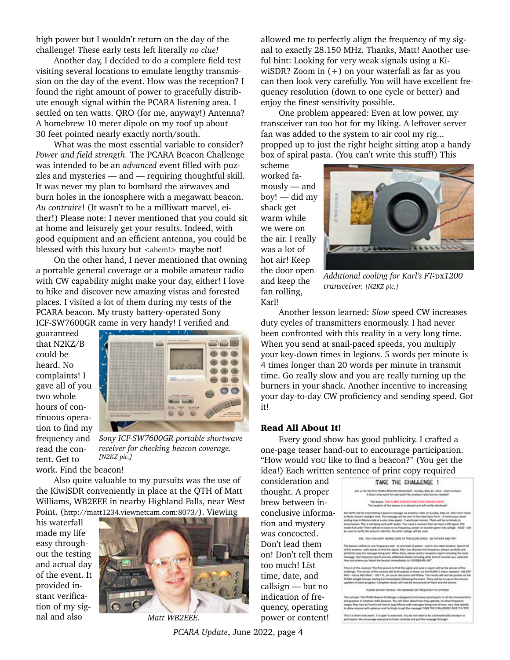high power but I wouldn't return on the day of the challenge! These early tests left literally *no clue!*

Another day, I decided to do a complete field test visiting several locations to emulate lengthy transmission on the day of the event. How was the reception? I found the right amount of power to gracefully distribute enough signal within the PCARA listening area. I settled on ten watts. QRO (for me, anyway!) Antenna? A homebrew 10 meter dipole on my roof up about 30 feet pointed nearly exactly north/south.

What was the most essential variable to consider? *Power and field strength.* The PCARA Beacon Challenge was intended to be an *advanced* event filled with puzzles and mysteries — and — requiring thoughtful skill. It was never my plan to bombard the airwaves and burn holes in the ionosphere with a megawatt beacon. *Au contraire*! (It wasn't to be a milliwatt marvel, either!) Please note: I never mentioned that you could sit at home and leisurely get your results. Indeed, with good equipment and an efficient antenna, you could be blessed with this luxury but <ahem!> maybe not!

On the other hand, I never mentioned that owning a portable general coverage or a mobile amateur radio with CW capability might make your day, either! I love to hike and discover new amazing vistas and forested places. I visited a lot of them during my tests of the PCARA beacon. My trusty battery-operated Sony ICF-SW7600GR came in very handy! I verified and

guaranteed that N2KZ/B could be heard. No complaints! I gave all of you two whole hours of continuous operation to find my frequency and read the content. Get to



*Sony ICF-SW7600GR portable shortwave receiver for checking beacon coverage. [N2KZ pic.]*

#### work. Find the beacon!

Also quite valuable to my pursuits was the use of the KiwiSDR conveniently in place at the QTH of Matt Williams, WB2EEE in nearby Highland Falls, near West Point. (<http://matt1234.viewnetcam.com:8073/>). Viewing

his waterfall made my life easy throughout the testing and actual day of the event. It provided instant verification of my signal and also



*Matt WB2EEE.*

allowed me to perfectly align the frequency of my signal to exactly 28.150 MHz. Thanks, Matt! Another useful hint: Looking for very weak signals using a KiwiSDR? Zoom in  $(+)$  on your waterfall as far as you can then look very carefully. You will have excellent frequency resolution (down to one cycle or better) and enjoy the finest sensitivity possible.

One problem appeared: Even at low power, my transceiver ran too hot for my liking. A leftover server fan was added to the system to air cool my rig... propped up to just the right height sitting atop a handy box of spiral pasta. (You can't write this stuff!) This

scheme worked famously — and boy! — did my shack get warm while we were on the air. I really was a lot of hot air! Keep the door open and keep the fan rolling, Karl!



Additional cooling for Karl's FT- $Dx1200$ *transceiver. [N2KZ pic.]*

Another lesson learned: *Slow* speed CW increases duty cycles of transmitters enormously. I had never been confronted with this reality in a very long time. When you send at snail-paced speeds, you multiply your key-down times in legions. 5 words per minute is 4 times longer than 20 words per minute in transmit time. Go really slow and you are really turning up the burners in your shack. Another incentive to increasing your day-to-day CW proficiency and sending speed. Got it!

### **Read All About It!**

Every good show has good publicity. I crafted a one-page teaser hand-out to encourage participation. "How would you like to find a beacon?" (You get the idea!) Each written sentence of print copy required

consideration and thought. A proper brew between inconclusive information and mystery was concocted. Don't lead them on! Don't tell them too much! List time, date, and callsign — but no indication of frequency, operating power or content!

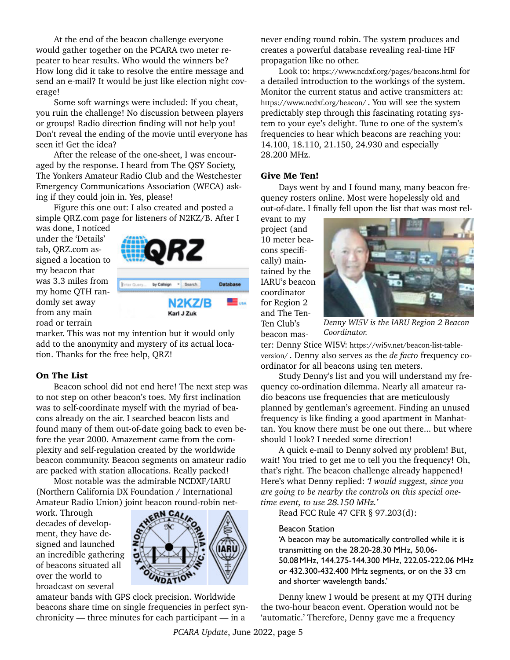At the end of the beacon challenge everyone would gather together on the PCARA two meter repeater to hear results. Who would the winners be? How long did it take to resolve the entire message and send an e-mail? It would be just like election night coverage!

Some soft warnings were included: If you cheat, you ruin the challenge! No discussion between players or groups! Radio direction finding will not help you! Don't reveal the ending of the movie until everyone has seen it! Get the idea?

After the release of the one-sheet, I was encouraged by the response. I heard from The QSY Society, The Yonkers Amateur Radio Club and the Westchester Emergency Communications Association (WECA) asking if they could join in. Yes, please!

Figure this one out: I also created and posted a simple QRZ.com page for listeners of N2KZ/B. After I was done, I noticed

under the 'Details' tab, QRZ.com assigned a location to my beacon that was 3.3 miles from my home QTH randomly set away from any main road or terrain



marker. This was not my intention but it would only add to the anonymity and mystery of its actual location. Thanks for the free help, QRZ!

### **On The List**

Beacon school did not end here! The next step was to not step on other beacon's toes. My first inclination was to self-coordinate myself with the myriad of beacons already on the air. I searched beacon lists and found many of them out-of-date going back to even before the year 2000. Amazement came from the complexity and self-regulation created by the worldwide beacon community. Beacon segments on amateur radio are packed with station allocations. Really packed!

Most notable was the admirable NCDXF/IARU (Northern California DX Foundation / International Amateur Radio Union) joint beacon round-robin net-

work. Through decades of development, they have designed and launched an incredible gathering of beacons situated all over the world to broadcast on several



amateur bands with GPS clock precision. Worldwide beacons share time on single frequencies in perfect synchronicity — three minutes for each participant — in a

never ending round robin. The system produces and creates a powerful database revealing real-time HF propagation like no other.

Look to: <https://www.ncdxf.org/pages/beacons.html> for a detailed introduction to the workings of the system. Monitor the current status and active transmitters at: <https://www.ncdxf.org/beacon/> . You will see the system predictably step through this fascinating rotating system to your eye's delight. Tune to one of the system's frequencies to hear which beacons are reaching you: 14.100, 18.110, 21.150, 24.930 and especially 28.200 MHz.

### **Give Me Ten!**

Days went by and I found many, many beacon frequency rosters online. Most were hopelessly old and out-of-date. I finally fell upon the list that was most rel-

evant to my project (and 10 meter beacons specifically) maintained by the IARU's beacon coordinator for Region 2 and The Ten-Ten Club's

beacon mas-



*Denny WI5V is the IARU Region 2 Beacon Coordinator.*

ter: Denny Stice WI5V[:](https:// https://wi5v.net/beacon-list-table-version/) [https://wi5v.net/beacon-list-table](https://wi5v.net/beacon-list-table-version/)[version/](https://wi5v.net/beacon-list-table-version/) . Denny also serves as the *de facto* frequency coordinator for all beacons using ten meters.

Study Denny's list and you will understand my frequency co-ordination dilemma. Nearly all amateur radio beacons use frequencies that are meticulously planned by gentleman's agreement. Finding an unused frequency is like finding a good apartment in Manhattan. You know there must be one out there... but where should I look? I needed some direction!

A quick e-mail to Denny solved my problem! But, wait! You tried to get me to tell you the frequency! Oh, that's right. The beacon challenge already happened! Here's what Denny replied: *'I would suggest, since you are going to be nearby the controls on this special onetime event, to use 28.150 MHz.'*

Read FCC Rule 47 CFR § 97.203(d):

### Beacon Station

'A beacon may be automatically controlled while it is transmitting on the 28.20-28.30 MHz, 50.06- 50.08 MHz, 144.275-144.300 MHz, 222.05-222.06 MHz or 432.300-432.400 MHz segments, or on the 33 cm and shorter wavelength bands.'

Denny knew I would be present at my QTH during the two-hour beacon event. Operation would not be 'automatic.' Therefore, Denny gave me a frequency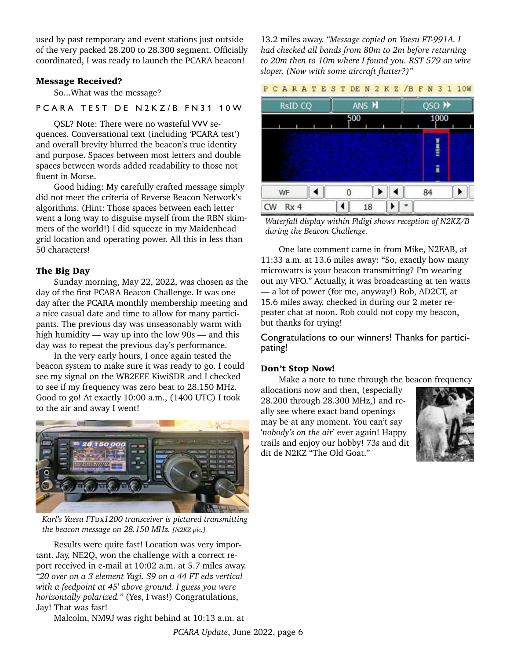used by past temporary and event stations just outside of the very packed 28.200 to 28.300 segment. Officially coordinated, I was ready to launch the PCARA beacon!

### **Message Received?**

So...What was the message?

### P C A R A T E S T D E N 2 K Z / B F N 3 1 1 0 W

QSL? Note: There were no wasteful VVV sequences. Conversational text (including 'PCARA test') and overall brevity blurred the beacon's true identity and purpose. Spaces between most letters and double spaces between words added readability to those not fluent in Morse.

Good hiding: My carefully crafted message simply did not meet the criteria of Reverse Beacon Network's algorithms. (Hint: Those spaces between each letter went a long way to disguise myself from the RBN skimmers of the world!) I did squeeze in my Maidenhead grid location and operating power. All this in less than 50 characters!

### **The Big Day**

Sunday morning, May 22, 2022, was chosen as the day of the first PCARA Beacon Challenge. It was one day after the PCARA monthly membership meeting and a nice casual date and time to allow for many participants. The previous day was unseasonably warm with high humidity — way up into the low 90s — and this day was to repeat the previous day's performance.

In the very early hours, I once again tested the beacon system to make sure it was ready to go. I could see my signal on the WB2EEE KiwiSDR and I checked to see if my frequency was zero beat to 28.150 MHz. Good to go! At exactly 10:00 a.m., (1400 UTC) I took to the air and away I went!



*Karl's Yaesu FT*dx*1200 transceiver is pictured transmitting the beacon message on 28.150 MHz. [N2KZ pic.]*

Results were quite fast! Location was very important. Jay, NE2Q, won the challenge with a correct report received in e-mail at 10:02 a.m. at 5.7 miles away. *"20 over on a 3 element Yagi. S9 on a 44 FT edz vertical with a feedpoint at 45' above ground. I guess you were horizontally polarized."* (Yes, I was!) Congratulations, Jay! That was fast!

Malcolm, NM9J was right behind at 10:13 a.m. at

13.2 miles away. *"Message copied on Yaesu FT-991A. I had checked all bands from 80m to 2m before returning to 20m then to 10m where I found you. RST 579 on wire sloper. (Now with some aircraft flutter?)"*

PCARATESTDEN2KZ/BFN3110W

| a.s<br>RsID <sub>CQ</sub> | ANS N | QSO <sup>N</sup> |
|---------------------------|-------|------------------|
|                           | 500   | 1000             |
|                           |       |                  |
|                           |       | i                |
|                           |       | ī                |
|                           |       |                  |
| WF                        | 0     | 84               |
| Rx 4<br><b>CW</b>         | 18    |                  |

*Waterfall display within Fldigi shows reception of N2KZ/B during the Beacon Challenge.*

One late comment came in from Mike, N2EAB, at 11:33 a.m. at 13.6 miles away: "So, exactly how many microwatts is your beacon transmitting? I'm wearing out my VFO." Actually, it was broadcasting at ten watts — a lot of power (for me, anyway!) Rob, AD2CT, at 15.6 miles away, checked in during our 2 meter repeater chat at noon. Rob could not copy my beacon, but thanks for trying!

Congratulations to our winners! Thanks for participating!

### **Don't Stop Now!**

Make a note to tune through the beacon frequency

allocations now and then, (especially 28.200 through 28.300 MHz,) and really see where exact band openings may be at any moment. You can't say '*nobody's on the air*' ever again! Happy trails and enjoy our hobby! 73s and dit dit de N2KZ "The Old Goat."

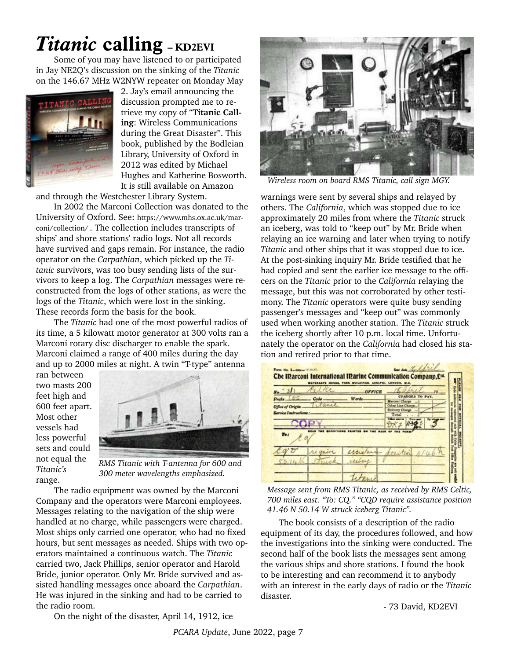## <span id="page-6-0"></span>*Titanic* **calling – KD2EVI**

Some of you may have listened to or participated in Jay NE2Q's discussion on the sinking of the *Titanic* on the 146.67 MHz W2NYW repeater on Monday May



2. Jay's email announcing the discussion prompted me to retrieve my copy of "**Titanic Calling**: Wireless Communications during the Great Disaster". This book, published by the Bodleian Library, University of Oxford in 2012 was edited by Michael Hughes and Katherine Bosworth. It is still available on Amazon

and through the Westchester Library System.

In 2002 the Marconi Collection was donated to the University of Oxford. See: [https://www.mhs.ox.ac.uk/mar](https://www.mhs.ox.ac.uk/marconi/collection/)[coni/collection/](https://www.mhs.ox.ac.uk/marconi/collection/) . The collection includes transcripts of ships' and shore stations' radio logs. Not all records have survived and gaps remain. For instance, the radio operator on the *Carpathian*, which picked up the *Titanic* survivors, was too busy sending lists of the survivors to keep a log. The *Carpathian* messages were reconstructed from the logs of other stations, as were the logs of the *Titanic*, which were lost in the sinking. These records form the basis for the book.

The *Titanic* had one of the most powerful radios of its time, a 5 kilowatt motor generator at 300 volts ran a Marconi rotary disc discharger to enable the spark. Marconi claimed a range of 400 miles during the day and up to 2000 miles at night. A twin "T-type" antenna

ran between two masts 200 feet high and 600 feet apart. Most other vessels had less powerful sets and could not equal the *Titanic's* range.



*RMS Titanic with T-antenna for 600 and 300 meter wavelengths emphasized.*

The radio equipment was owned by the Marconi Company and the operators were Marconi employees. Messages relating to the navigation of the ship were handled at no charge, while passengers were charged. Most ships only carried one operator, who had no fixed hours, but sent messages as needed. Ships with two operators maintained a continuous watch. The *Titanic* carried two, Jack Phillips, senior operator and Harold Bride, junior operator. Only Mr. Bride survived and assisted handling messages once aboard the *Carpathian*. He was injured in the sinking and had to be carried to the radio room.

warnings were sent by several ships and relayed by others. The *California*, which was stopped due to ice approximately 20 miles from where the *Titanic* struck an iceberg, was told to "keep out" by Mr. Bride when *Wireless room on board RMS Titanic, call sign MGY.*

relaying an ice warning and later when trying to notify *Titanic* and other ships that it was stopped due to ice. At the post-sinking inquiry Mr. Bride testified that he had copied and sent the earlier ice message to the officers on the *Titanic* prior to the *California* relaying the message, but this was not corroborated by other testimony. The *Titanic* operators were quite busy sending passenger's messages and "keep out" was commonly used when working another station. The *Titanic* struck the iceberg shortly after 10 p.m. local time. Unfortunately the operator on the *California* had closed his station and retired prior to that time.

| tie.<br>No. 31                  | <b>OFFICE</b> |                                             |   |
|---------------------------------|---------------|---------------------------------------------|---|
| Prefix LD                       | <b>Wards</b>  | <b>CHAPGES TO PAY.</b><br>Marconi Charge    | Į |
| tane<br><b>Office of Origin</b> |               | Other Line Charge<br><b>Delivery Charge</b> |   |
| Service Instructions :          |               | Total                                       |   |
|                                 |               | <b>Con model for</b>                        |   |
| <b>BEAR</b><br>To:              |               |                                             |   |
| regain                          | erristans     |                                             |   |
|                                 | inberg        |                                             |   |

*Message sent from RMS Titanic, as received by RMS Celtic, 700 miles east. "To: CQ." "CQD require assistance position 41.46 N 50.14 W struck iceberg Titanic".*

The book consists of a description of the radio equipment of its day, the procedures followed, and how the investigations into the sinking were conducted. The second half of the book lists the messages sent among the various ships and shore stations. I found the book to be interesting and can recommend it to anybody with an interest in the early days of radio or the *Titanic* disaster.

- 73 David, KD2EVI

On the night of the disaster, April 14, 1912, ice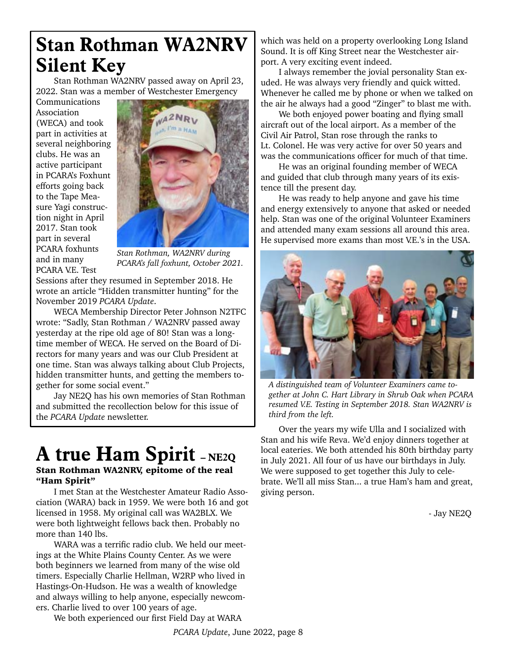### <span id="page-7-0"></span>**Stan Rothman WA2NRV Silent Key**

Stan Rothman WA2NRV passed away on April 23, 2022. Stan was a member of Westchester Emergency

Communications Association (WECA) and took part in activities at several neighboring clubs. He was an active participant in PCARA's Foxhunt efforts going back to the Tape Measure Yagi construction night in April 2017. Stan took part in several PCARA foxhunts and in many PCARA V.E. Test



*Stan Rothman, WA2NRV during PCARA's fall foxhunt, October 2021.*

Sessions after they resumed in September 2018. He wrote an article "Hidden transmitter hunting" for the November 2019 *PCARA Update*.

WECA Membership Director Peter Johnson N2TFC wrote: "Sadly, Stan Rothman / WA2NRV passed away yesterday at the ripe old age of 80! Stan was a longtime member of WECA. He served on the Board of Directors for many years and was our Club President at one time. Stan was always talking about Club Projects, hidden transmitter hunts, and getting the members together for some social event."

Jay NE2Q has his own memories of Stan Rothman and submitted the recollection below for this issue of the *PCARA Update* newsletter.

### **A true Ham Spirit – NE2Q Stan Rothman WA2NRV, epitome of the real "Ham Spirit"**

I met Stan at the Westchester Amateur Radio Association (WARA) back in 1959. We were both 16 and got licensed in 1958. My original call was WA2BLX. We were both lightweight fellows back then. Probably no more than 140 lbs.

WARA was a terrific radio club. We held our meetings at the White Plains County Center. As we were both beginners we learned from many of the wise old timers. Especially Charlie Hellman, W2RP who lived in Hastings-On-Hudson. He was a wealth of knowledge and always willing to help anyone, especially newcomers. Charlie lived to over 100 years of age.

We both experienced our first Field Day at WARA

which was held on a property overlooking Long Island Sound. It is off King Street near the Westchester airport. A very exciting event indeed.

I always remember the jovial personality Stan exuded. He was always very friendly and quick witted. Whenever he called me by phone or when we talked on the air he always had a good "Zinger" to blast me with.

We both enjoyed power boating and flying small aircraft out of the local airport. As a member of the Civil Air Patrol, Stan rose through the ranks to Lt. Colonel. He was very active for over 50 years and was the communications officer for much of that time.

He was an original founding member of WECA and guided that club through many years of its existence till the present day.

He was ready to help anyone and gave his time and energy extensively to anyone that asked or needed help. Stan was one of the original Volunteer Examiners and attended many exam sessions all around this area. He supervised more exams than most V.E.'s in the USA.



*A distinguished team of Volunteer Examiners came together at John C. Hart Library in Shrub Oak when PCARA resumed V.E. Testing in September 2018. Stan WA2NRV is third from the left.*

Over the years my wife Ulla and I socialized with Stan and his wife Reva. We'd enjoy dinners together at local eateries. We both attended his 80th birthday party in July 2021. All four of us have our birthdays in July. We were supposed to get together this July to celebrate. We'll all miss Stan... a true Ham's ham and great, giving person.

- Jay NE2Q

*PCARA Update*, June 2022, page 8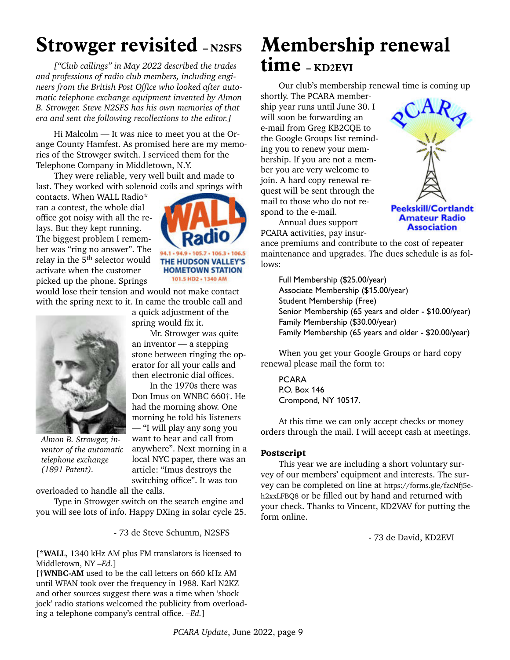## <span id="page-8-0"></span>**Strowger revisited** - N2SFS

*["Club callings" in May 2022 described the trades and professions of radio club members, including engineers from the British Post Office who looked after automatic telephone exchange equipment invented by Almon B. Strowger. Steve N2SFS has his own memories of that era and sent the following recollections to the editor.]*

Hi Malcolm — It was nice to meet you at the Orange County Hamfest. As promised here are my memories of the Strowger switch. I serviced them for the Telephone Company in Middletown, N.Y.

They were reliable, very well built and made to last. They worked with solenoid coils and springs with

contacts. When WALL Radio\* ran a contest, the whole dial office got noisy with all the relays. But they kept running. The biggest problem I remember was "ring no answer". The relay in the 5<sup>th</sup> selector would activate when the customer picked up the phone. Springs



would lose their tension and would not make contact with the spring next to it. In came the trouble call and



*Almon B. Strowger, inventor of the automatic telephone exchange (1891 Patent).*

a quick adjustment of the spring would fix it. Mr. Strowger was quite an inventor — a stepping

stone between ringing the operator for all your calls and then electronic dial offices.

In the 1970s there was Don Imus on WNBC 660†. He had the morning show. One morning he told his listeners

— "I will play any song you want to hear and call from anywhere". Next morning in a local NYC paper, there was an article: "Imus destroys the switching office". It was too

overloaded to handle all the calls.

Type in Strowger switch on the search engine and you will see lots of info. Happy DXing in solar cycle 25.

- 73 de Steve Schumm, N2SFS

[\***WALL**, 1340 kHz AM plus FM translators is licensed to Middletown, NY *–Ed.*]

[†**WNBC-AM** used to be the call letters on 660 kHz AM until WFAN took over the frequency in 1988. Karl N2KZ and other sources suggest there was a time when 'shock jock' radio stations welcomed the publicity from overloading a telephone company's central office. *–Ed.*]

## **Membership renewal time – KD2EVI**

Our club's membership renewal time is coming up

shortly. The PCARA membership year runs until June 30. I will soon be forwarding an e-mail from Greg KB2CQE to the Google Groups list reminding you to renew your membership. If you are not a member you are very welcome to join. A hard copy renewal request will be sent through the mail to those who do not respond to the e-mail.



ance premiums and contribute to the cost of repeater maintenance and upgrades. The dues schedule is as follows:

**Peekskill/Cortlandt Amateur Radio Association** 

Full Membership (\$25.00/year) Associate Membership (\$15.00/year) Student Membership (Free) Senior Membership (65 years and older - \$10.00/year) Family Membership (\$30.00/year) Family Membership (65 years and older - \$20.00/year)

When you get your Google Groups or hard copy renewal please mail the form to:

PCARA P.O. Box 146 Crompond, NY 10517.

At this time we can only accept checks or money orders through the mail. I will accept cash at meetings.

### **Postscript**

This year we are including a short voluntary survey of our members' equipment and interests. The survey can be completed on line at [https://forms.gle/fzcNfj5e](https://forms.gle/fzcNfj5eh2xxLFBQ8)[h2xxLFBQ8](https://forms.gle/fzcNfj5eh2xxLFBQ8) or be filled out by hand and returned with your check. Thanks to Vincent, KD2VAV for putting the form online.

- 73 de David, KD2EVI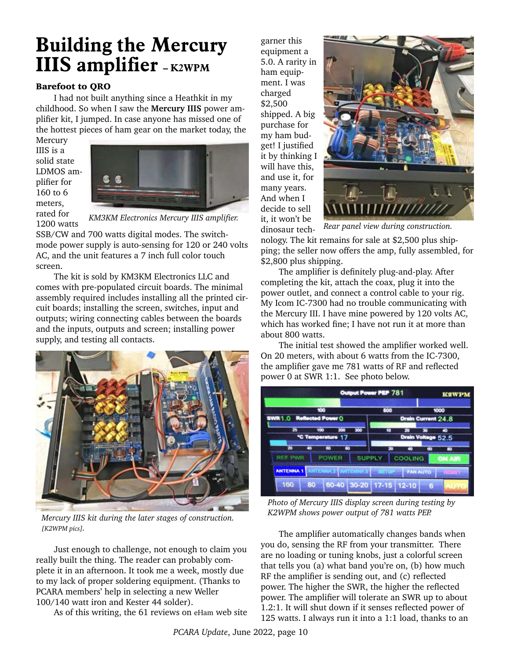### <span id="page-9-0"></span>**Building the Mercury IIIS amplifier – K2WPM**

### **Barefoot to QRO**

I had not built anything since a Heathkit in my childhood. So when I saw the **Mercury IIIS** power amplifier kit, I jumped. In case anyone has missed one of the hottest pieces of ham gear on the market today, the

Mercury IIIS is a solid state LDMOS amplifier for 160 to 6 meters, rated for 1200 watts



*KM3KM Electronics Mercury IIIS amplifier.*

SSB/CW and 700 watts digital modes. The switchmode power supply is auto-sensing for 120 or 240 volts AC, and the unit features a 7 inch full color touch screen.

The kit is sold by KM3KM Electronics LLC and comes with pre-populated circuit boards. The minimal assembly required includes installing all the printed circuit boards; installing the screen, switches, input and outputs; wiring connecting cables between the boards and the inputs, outputs and screen; installing power supply, and testing all contacts.



*Mercury IIIS kit during the later stages of construction. [K2WPM pics].*

Just enough to challenge, not enough to claim you really built the thing. The reader can probably complete it in an afternoon. It took me a week, mostly due to my lack of proper soldering equipment. (Thanks to PCARA members' help in selecting a new Weller 100/140 watt iron and Kester 44 solder).

As of this writing, the 61 reviews on [eHam](https://www.eham.net/reviews/view-product?id=14403) web site

garner this equipment a 5.0. A rarity in ham equipment. I was charged \$2,500 shipped. A big purchase for my ham budget! I justified it by thinking I will have this, and use it, for many years. And when I decide to sell it, it won't be dinosaur tech-



*Rear panel view during construction.*

nology. The kit remains for sale at \$2,500 plus shipping; the seller now offers the amp, fully assembled, for \$2,800 plus shipping.

The amplifier is definitely plug-and-play. After completing the kit, attach the coax, plug it into the power outlet, and connect a control cable to your rig. My Icom IC-7300 had no trouble communicating with the Mercury III. I have mine powered by 120 volts AC, which has worked fine; I have not run it at more than about 800 watts.

The initial test showed the amplifier worked well. On 20 meters, with about 6 watts from the IC-7300, the amplifier gave me 781 watts of RF and reflected power 0 at SWR 1:1. See photo below.



*Photo of Mercury IIIS display screen during testing by K2WPM shows power output of 781 watts PEP.*

The amplifier automatically changes bands when you do, sensing the RF from your transmitter. There are no loading or tuning knobs, just a colorful screen that tells you (a) what band you're on, (b) how much RF the amplifier is sending out, and (c) reflected power. The higher the SWR, the higher the reflected power. The amplifier will tolerate an SWR up to about 1.2:1. It will shut down if it senses reflected power of 125 watts. I always run it into a 1:1 load, thanks to an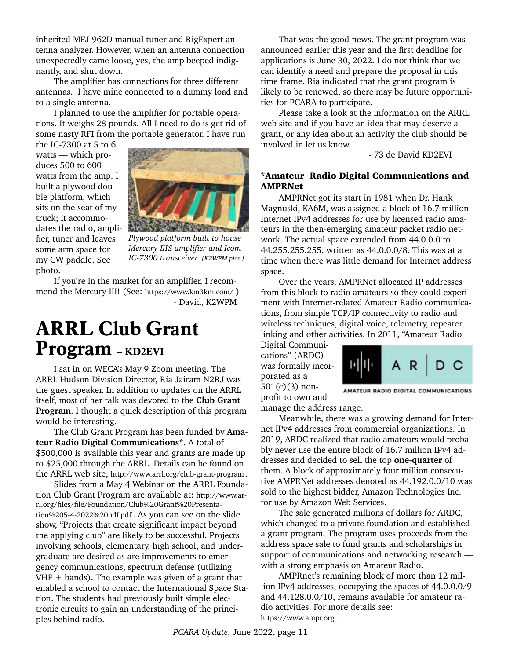<span id="page-10-0"></span>inherited MFJ-962D manual tuner and RigExpert antenna analyzer. However, when an antenna connection unexpectedly came loose, yes, the amp beeped indignantly, and shut down.

The amplifier has connections for three different antennas. I have mine connected to a dummy load and to a single antenna.

I planned to use the amplifier for portable operations. It weighs 28 pounds. All I need to do is get rid of some nasty RFI from the portable generator. I have run

the IC-7300 at 5 to 6 watts — which produces 500 to 600 watts from the amp. I built a plywood double platform, which sits on the seat of my truck; it accommodates the radio, amplifier, tuner and leaves some arm space for my CW paddle. See photo.



*Plywood platform built to house Mercury IIIS amplifier and Icom IC-7300 transceiver. [K2WPM pics.]*

If you're in the market for an amplifier, I recommend the Mercury III! (See: <https://www.km3km.com/> ) - David, K2WPM

### **ARRL Club Grant Program – KD2EVI**

I sat in on WECA's May 9 Zoom meeting. The ARRL Hudson Division Director, Ria Jairam N2RJ was the guest speaker. In addition to updates on the ARRL itself, most of her talk was devoted to the **Club Grant Program**. I thought a quick description of this program would be interesting.

The Club Grant Program has been funded by **Amateur Radio Digital Communications\***. A total of \$500,000 is available this year and grants are made up to \$25,000 through the ARRL. Details can be found on the ARRL web site, <http://www.arrl.org/club-grant-program> .

Slides from a May 4 Webinar on the ARRL Foundation Club Grant Program are available at: [http://www.ar](http://www.arrl.org/files/file/Foundation/Club%20Grant%20Presentation%205-4-2022%20pdf.pdf)[rl.org/files/file/Foundation/Club%20Grant%20Presenta](http://www.arrl.org/files/file/Foundation/Club%20Grant%20Presentation%205-4-2022%20pdf.pdf)[tion%205-4-2022%20pdf.pdf](http://www.arrl.org/files/file/Foundation/Club%20Grant%20Presentation%205-4-2022%20pdf.pdf) . As you can see on the slide show, "Projects that create significant impact beyond the applying club" are likely to be successful. Projects involving schools, elementary, high school, and undergraduate are desired as are improvements to emergency communications, spectrum defense (utilizing VHF + bands). The example was given of a grant that enabled a school to contact the International Space Station. The students had previously built simple electronic circuits to gain an understanding of the principles behind radio.

That was the good news. The grant program was announced earlier this year and the first deadline for applications is June 30, 2022. I do not think that we can identify a need and prepare the proposal in this time frame. Ria indicated that the grant program is likely to be renewed, so there may be future opportunities for PCARA to participate.

Please take a look at the information on the ARRL web site and if you have an idea that may deserve a grant, or any idea about an activity the club should be involved in let us know.

- 73 de David KD2EVI

### **\*Amateur Radio Digital Communications and AMPRNet**

AMPRNet got its start in 1981 when Dr. Hank Magnuski, KA6M, was assigned a block of 16.7 million Internet IPv4 addresses for use by licensed radio amateurs in the then-emerging amateur packet radio network. The actual space extended from 44.0.0.0 to 44.255.255.255, written as 44.0.0.0/8. This was at a time when there was little demand for Internet address space.

Over the years, AMPRNet allocated IP addresses from this block to radio amateurs so they could experiment with Internet-related Amateur Radio communications, from simple TCP/IP connectivity to radio and wireless techniques, digital voice, telemetry, repeater linking and other activities. In 2011, "Amateur Radio

Digital Communications" (ARDC) was formally incorporated as a 501(c)(3) nonprofit to own and



AMATEUR RADIO DIGITAL COMMUNICATIONS

manage the address range.

Meanwhile, there was a growing demand for Internet IPv4 addresses from commercial organizations. In 2019, ARDC realized that radio amateurs would probably never use the entire block of 16.7 million IPv4 addresses and decided to sell the top **one-quarter** of them. A block of approximately four million consecutive AMPRNet addresses denoted as 44.192.0.0/10 was sold to the highest bidder, Amazon Technologies Inc. for use by Amazon Web Services.

The sale generated millions of dollars for ARDC, which changed to a private foundation and established a grant program. The program uses proceeds from the address space sale to fund grants and scholarships in support of communications and networking research with a strong emphasis on Amateur Radio.

AMPRnet's remaining block of more than 12 million IPv4 addresses, occupying the spaces of 44.0.0.0/9 and 44.128.0.0/10, remains available for amateur radio activities. For more details see: <https://www.ampr.org> .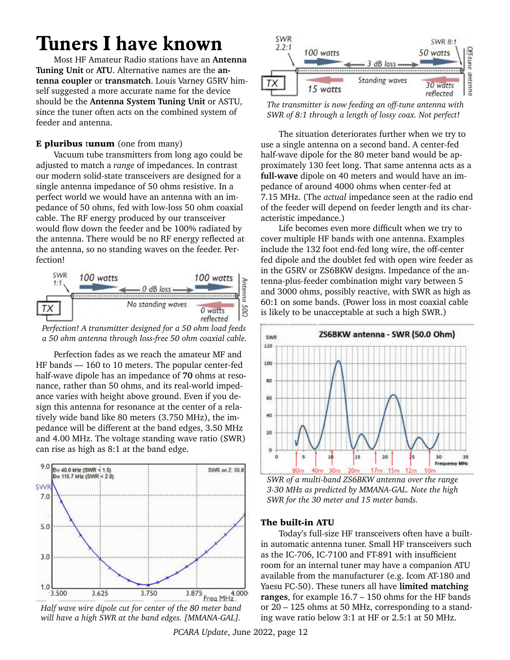## <span id="page-11-0"></span>**Tuners I have known**

Most HF Amateur Radio stations have an **Antenna Tuning Unit** or **ATU**. Alternative names are the **antenna coupler** or **transmatch**. Louis Varney G5RV himself suggested a more accurate name for the device should be the **Antenna System Tuning Unit** or ASTU, since the tuner often acts on the combined system of feeder and antenna.

### **E pluribus** t**unum** (one from many)

Vacuum tube transmitters from long ago could be adjusted to match a *range* of impedances. In contrast our modern solid-state transceivers are designed for a single antenna impedance of 50 ohms resistive. In a perfect world we would have an antenna with an impedance of 50 ohms, fed with low-loss 50 ohm coaxial cable. The RF energy produced by our transceiver would flow down the feeder and be 100% radiated by the antenna. There would be no RF energy reflected at the antenna, so no standing waves on the feeder. Perfection!



*Perfection! A transmitter designed for a 50 ohm load feeds a 50 ohm antenna through loss-free 50 ohm coaxial cable.*

Perfection fades as we reach the amateur MF and HF bands — 160 to 10 meters. The popular center-fed half-wave dipole has an impedance of **70** ohms at resonance, rather than 50 ohms, and its real-world impedance varies with height above ground. Even if you design this antenna for resonance at the center of a relatively wide band like 80 meters (3.750 MHz), the impedance will be different at the band edges, 3.50 MHz and 4.00 MHz. The voltage standing wave ratio (SWR) can rise as high as 8:1 at the band edge.



*Half wave wire dipole cut for center of the 80 meter band will have a high SWR at the band edges. [MMANA-GAL].*



*The transmitter is now feeding an off-tune antenna with SWR of 8:1 through a length of lossy coax. Not perfect!*

The situation deteriorates further when we try to use a single antenna on a second band. A center-fed half-wave dipole for the 80 meter band would be approximately 130 feet long. That same antenna acts as a **full-wave** dipole on 40 meters and would have an impedance of around 4000 ohms when center-fed at 7.15 MHz. (The *actual* impedance seen at the radio end of the feeder will depend on feeder length and its characteristic impedance.)

Life becomes even more difficult when we try to cover multiple HF bands with one antenna. Examples include the 132 foot end-fed long wire, the off-center fed dipole and the doublet fed with open wire feeder as in the G5RV or ZS6BKW designs. Impedance of the antenna-plus-feeder combination might vary between 5 and 3000 ohms, possibly reactive, with SWR as high as 60:1 on some bands. (Power loss in most coaxial cable is likely to be unacceptable at such a high SWR.)



*SWR of a multi-band ZS6BKW antenna over the range 3-30 MHz as predicted by MMANA-GAL. Note the high SWR for the 30 meter and 15 meter bands.*

### **The built-in ATU**

Today's full-size HF transceivers often have a builtin automatic antenna tuner. Small HF transceivers such as the IC-706, IC-7100 and FT-891 with insufficient room for an internal tuner may have a companion ATU available from the manufacturer (e.g. Icom AT-180 and Yaesu FC-50). These tuners all have **limited matching ranges**, for example 16.7 – 150 ohms for the HF bands or 20 – 125 ohms at 50 MHz, corresponding to a standing wave ratio below 3:1 at HF or 2.5:1 at 50 MHz.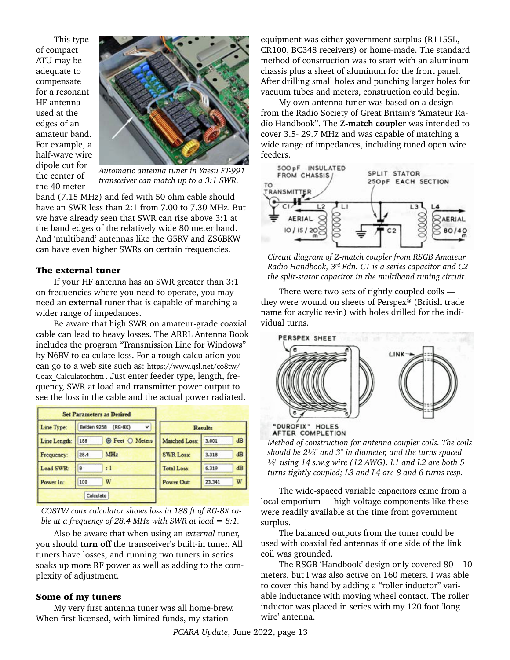This type of compact ATU may be adequate to compensate for a resonant HF antenna used at the edges of an amateur band. For example, a half-wave wire dipole cut for the center of the 40 meter



*Automatic antenna tuner in Yaesu FT-991 transceiver can match up to a 3:1 SWR.*

band (7.15 MHz) and fed with 50 ohm cable should have an SWR less than 2:1 from 7.00 to 7.30 MHz. But we have already seen that SWR can rise above 3:1 at the band edges of the relatively wide 80 meter band. And 'multiband' antennas like the G5RV and ZS6BKW can have even higher SWRs on certain frequencies.

### **The external tuner**

If your HF antenna has an SWR greater than 3:1 on frequencies where you need to operate, you may need an **external** tuner that is capable of matching a wider range of impedances.

Be aware that high SWR on amateur-grade coaxial cable can lead to heavy losses. The ARRL Antenna Book includes the program "Transmission Line for Windows" by N6BV to calculate loss. For a rough calculation you can go to a web site such as: [https://www.qsl.net/co8tw/](https://www.qsl.net/co8tw/Coax_Calculator.htm) [Coax\\_Calculator.htm](https://www.qsl.net/co8tw/Coax_Calculator.htm) . Just enter feeder type, length, frequency, SWR at load and transmitter power output to see the loss in the cable and the actual power radiated.

|              |             | <b>Set Parameters as Desired</b> |                    |                |    |  |
|--------------|-------------|----------------------------------|--------------------|----------------|----|--|
| Line Type:   | Belden 9258 | v<br>$(RG-8X)$                   |                    | <b>Results</b> |    |  |
| Line Length: | 188         | <b> ◎</b> Feet ○ Meters          | Matched Loss:      | 3,001          | dB |  |
| Frequency:   | 28.4        | <b>MHz</b>                       | <b>SWR Loss:</b>   | 3.318          | dB |  |
| Load SWR:    | 8           | : 1                              | <b>Total Loss:</b> | 6.319          | dB |  |
| Power In:    | 100         | W                                | Power Out:         | 23.341         | W  |  |
|              |             | Calculate                        |                    |                |    |  |

*CO8TW coax calculator shows loss in 188 ft of RG-8X cable at a frequency of 28.4 MHz with SWR at load = 8:1.*

Also be aware that when using an *external* tuner, you should **turn off** the transceiver's built-in tuner. All tuners have losses, and running two tuners in series soaks up more RF power as well as adding to the complexity of adjustment.

#### **Some of my tuners**

My very first antenna tuner was all home-brew. When first licensed, with limited funds, my station

equipment was either government surplus (R1155L, CR100, BC348 receivers) or home-made. The standard method of construction was to start with an aluminum chassis plus a sheet of aluminum for the front panel. After drilling small holes and punching larger holes for vacuum tubes and meters, construction could begin.

My own antenna tuner was based on a design from the Radio Society of Great Britain's "Amateur Radio Handbook". The **Z-match coupler** was intended to cover 3.5- 29.7 MHz and was capable of matching a wide range of impedances, including tuned open wire feeders.



*Circuit diagram of Z-match coupler from RSGB Amateur Radio Handbook, 3rd Edn. C1 is a series capacitor and C2 the split-stator capacitor in the multiband tuning circuit.*

There were two sets of tightly coupled coils they were wound on sheets of Perspex® (British trade name for acrylic resin) with holes drilled for the individual turns.



*Method of construction for antenna coupler coils. The coils should be 2½" and 3" in diameter, and the turns spaced ¼" using 14 s.w.g wire (12 AWG). L1 and L2 are both 5 turns tightly coupled; L3 and L4 are 8 and 6 turns resp.*

The wide-spaced variable capacitors came from a local emporium — high voltage components like these were readily available at the time from government surplus.

The balanced outputs from the tuner could be used with coaxial fed antennas if one side of the link coil was grounded.

The RSGB 'Handbook' design only covered 80 – 10 meters, but I was also active on 160 meters. I was able to cover this band by adding a "roller inductor" variable inductance with moving wheel contact. The roller inductor was placed in series with my 120 foot 'long wire' antenna.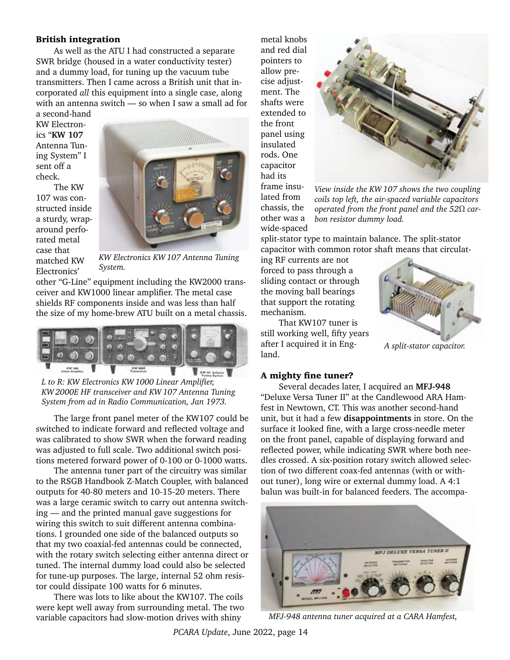### **British integration**

As well as the ATU I had constructed a separate SWR bridge (housed in a water conductivity tester) and a dummy load, for tuning up the vacuum tube transmitters. Then I came across a British unit that incorporated *all* this equipment into a single case, along with an antenna switch — so when I saw a small ad for

a second-hand KW Electronics "**KW 107** Antenna Tuning System" I sent off a check.

The KW 107 was constructed inside a sturdy, wraparound perforated metal case that matched KW Electronics'



*KW Electronics KW 107 Antenna Tuning System.*

other "G-Line" equipment including the KW2000 transceiver and KW1000 linear amplifier. The metal case shields RF components inside and was less than half the size of my home-brew ATU built on a metal chassis.



*L to R: KW Electronics KW 1000 Linear Amplifier, KW 2000E HF transceiver and KW 107 Antenna Tuning System from ad in Radio Communication, Jan 1973.*

The large front panel meter of the KW107 could be switched to indicate forward and reflected voltage and was calibrated to show SWR when the forward reading was adjusted to full scale. Two additional switch positions metered forward power of 0-100 or 0-1000 watts.

The antenna tuner part of the circuitry was similar to the RSGB Handbook Z-Match Coupler, with balanced outputs for 40-80 meters and 10-15-20 meters. There was a large ceramic switch to carry out antenna switching — and the printed manual gave suggestions for wiring this switch to suit different antenna combinations. I grounded one side of the balanced outputs so that my two coaxial-fed antennas could be connected, with the rotary switch selecting either antenna direct or tuned. The internal dummy load could also be selected for tune-up purposes. The large, internal 52 ohm resistor could dissipate 100 watts for 6 minutes.

There was lots to like about the KW107. The coils were kept well away from surrounding metal. The two variable capacitors had slow-motion drives with shiny

metal knobs and red dial pointers to allow precise adjustment. The shafts were extended to the front panel using insulated rods. One capacitor had its frame insu-



lated from chassis, the other was a wide-spaced *View inside the KW 107 shows the two coupling coils top left, the air-spaced variable capacitors operated from the front panel and the 52Ω carbon resistor dummy load.*

split-stator type to maintain balance. The split-stator capacitor with common rotor shaft means that circulat-

ing RF currents are not forced to pass through a sliding contact or through the moving ball bearings that support the rotating mechanism.

That KW107 tuner is still working well, fifty years after I acquired it in England.



*A split-stator capacitor.*

### **A mighty fine tuner?**

Several decades later, I acquired an **MFJ-948** "Deluxe Versa Tuner II" at the Candlewood ARA Hamfest in Newtown, CT. This was another second-hand unit, but it had a few **disappointments** in store. On the surface it looked fine, with a large cross-needle meter on the front panel, capable of displaying forward and reflected power, while indicating SWR where both needles crossed. A six-position rotary switch allowed selection of two different coax-fed antennas (with or without tuner), long wire or external dummy load. A 4:1 balun was built-in for balanced feeders. The accompa-



*MFJ-948 antenna tuner acquired at a CARA Hamfest,*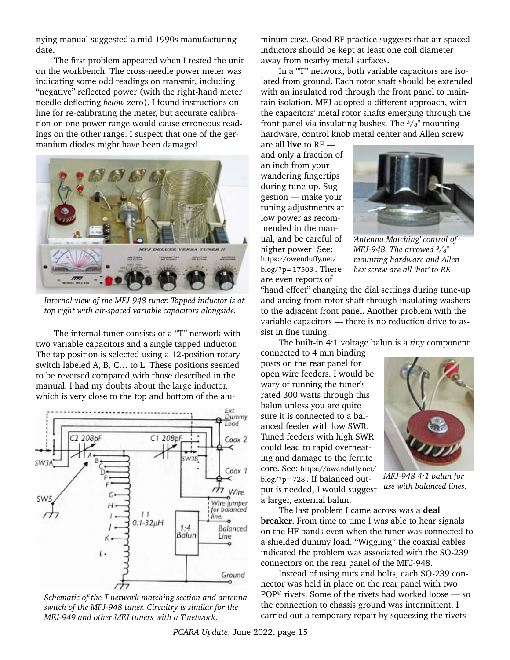nying manual suggested a mid-1990s manufacturing date.

The first problem appeared when I tested the unit on the workbench. The cross-needle power meter was indicating some odd readings on transmit, including "negative" reflected power (with the right-hand meter needle deflecting *below* zero). I found instructions online for re-calibrating the meter, but accurate calibration on one power range would cause erroneous readings on the other range. I suspect that one of the germanium diodes might have been damaged.



*Internal view of the MFJ-948 tuner. Tapped inductor is at top right with air-spaced variable capacitors alongside.*

The internal tuner consists of a "T" network with two variable capacitors and a single tapped inductor. The tap position is selected using a 12-position rotary switch labeled A, B, C… to L. These positions seemed to be reversed compared with those described in the manual. I had my doubts about the large inductor, which is very close to the top and bottom of the alu-



*Schematic of the T-network matching section and antenna switch of the MFJ-948 tuner. Circuitry is similar for the MFJ-949 and other MFJ tuners with a T-network.*

minum case. Good RF practice suggests that air-spaced inductors should be kept at least one coil diameter away from nearby metal surfaces.

In a "T" network, both variable capacitors are isolated from ground. Each rotor shaft should be extended with an insulated rod through the front panel to maintain isolation. MFJ adopted a different approach, with the capacitors' metal rotor shafts emerging through the front panel via insulating bushes. The <sup>3</sup>/<sub>8</sub>" mounting hardware, control knob metal center and Allen screw

are all **live** to RF and only a fraction of an inch from your wandering fingertips during tune-up. Suggestion — make your tuning adjustments at low power as recommended in the manual, and be careful of higher power! See: [https://owenduffy.net/](https://owenduffy.net/blog/?p=17503) [blog/?p=17503](https://owenduffy.net/blog/?p=17503) . There are even reports of



*'Antenna Matching' control of MFJ-948. The arrowed ³/⁸ " mounting hardware and Allen hex screw are all 'hot' to RF.*

"hand effect" changing the dial settings during tune-up and arcing from rotor shaft through insulating washers to the adjacent front panel. Another problem with the variable capacitors — there is no reduction drive to assist in fine tuning.

The built-in 4:1 voltage balun is a *tiny* component

connected to 4 mm binding posts on the rear panel for open wire feeders. I would be wary of running the tuner's rated 300 watts through this balun unless you are quite sure it is connected to a balanced feeder with low SWR. Tuned feeders with high SWR could lead to rapid overheating and damage to the ferrite core. See: [https://owenduffy.net/](https://owenduffy.net/blog/?p=728) [blog/?p=728](https://owenduffy.net/blog/?p=728) . If balanced output is needed, I would suggest a larger, external balun.



*MFJ-948 4:1 balun for use with balanced lines.*

The last problem I came across was a **deal breaker**. From time to time I was able to hear signals on the HF bands even when the tuner was connected to a shielded dummy load. "Wiggling" the coaxial cables indicated the problem was associated with the SO-239 connectors on the rear panel of the MFJ-948.

Instead of using nuts and bolts, each SO-239 connector was held in place on the rear panel with two POP® rivets. Some of the rivets had worked loose — so the connection to chassis ground was intermittent. I carried out a temporary repair by squeezing the rivets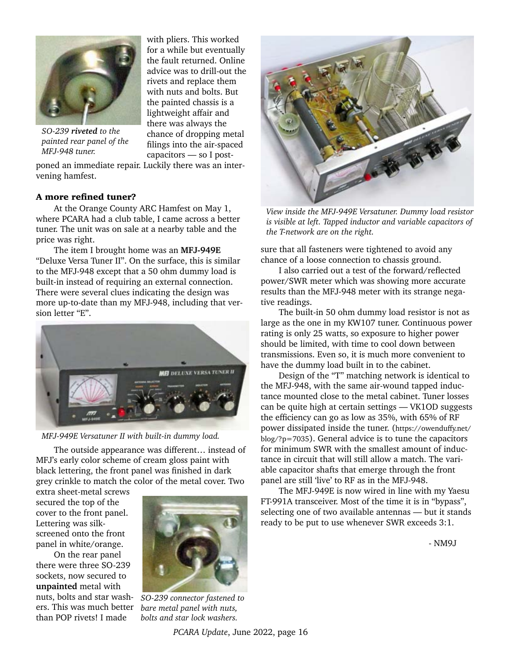

*SO-239 riveted to the painted rear panel of the MFJ-948 tuner.*

with pliers. This worked for a while but eventually the fault returned. Online advice was to drill-out the rivets and replace them with nuts and bolts. But the painted chassis is a lightweight affair and there was always the chance of dropping metal filings into the air-spaced capacitors — so I post-

poned an immediate repair. Luckily there was an intervening hamfest.

### **A more refined tuner?**

At the Orange County ARC Hamfest on May 1, where PCARA had a club table, I came across a better tuner. The unit was on sale at a nearby table and the price was right.

The item I brought home was an **MFJ-949E** "Deluxe Versa Tuner II". On the surface, this is similar to the MFJ-948 except that a 50 ohm dummy load is built-in instead of requiring an external connection. There were several clues indicating the design was more up-to-date than my MFJ-948, including that version letter "E".





The outside appearance was different… instead of MFJ's early color scheme of cream gloss paint with black lettering, the front panel was finished in dark grey crinkle to match the color of the metal cover. Two

extra sheet-metal screws secured the top of the cover to the front panel. Lettering was silkscreened onto the front panel in white/orange.

On the rear panel there were three SO-239 sockets, now secured to **unpainted** metal with nuts, bolts and star washers. This was much better than POP rivets! I made



*SO-239 connector fastened to bare metal panel with nuts, bolts and star lock washers.*



*View inside the MFJ-949E Versatuner. Dummy load resistor is visible at left. Tapped inductor and variable capacitors of the T-network are on the right.*

sure that all fasteners were tightened to avoid any chance of a loose connection to chassis ground.

I also carried out a test of the forward/reflected power/SWR meter which was showing more accurate results than the MFJ-948 meter with its strange negative readings.

The built-in 50 ohm dummy load resistor is not as large as the one in my KW107 tuner. Continuous power rating is only 25 watts, so exposure to higher power should be limited, with time to cool down between transmissions. Even so, it is much more convenient to have the dummy load built in to the cabinet.

Design of the "T" matching network is identical to the MFJ-948, with the same air-wound tapped inductance mounted close to the metal cabinet. Tuner losses can be quite high at certain settings — VK1OD suggests the efficiency can go as low as 35%, with 65% of RF power dissipated inside the tuner. ([https://owenduffy.net/](https://owenduffy.net/blog/?p=7035) [blog/?p=7035](https://owenduffy.net/blog/?p=7035)). General advice is to tune the capacitors for minimum SWR with the smallest amount of inductance in circuit that will still allow a match. The variable capacitor shafts that emerge through the front panel are still 'live' to RF as in the MFJ-948.

The MFJ-949E is now wired in line with my Yaesu FT-991A transceiver. Most of the time it is in "bypass", selecting one of two available antennas — but it stands ready to be put to use whenever SWR exceeds 3:1.

- NM9J